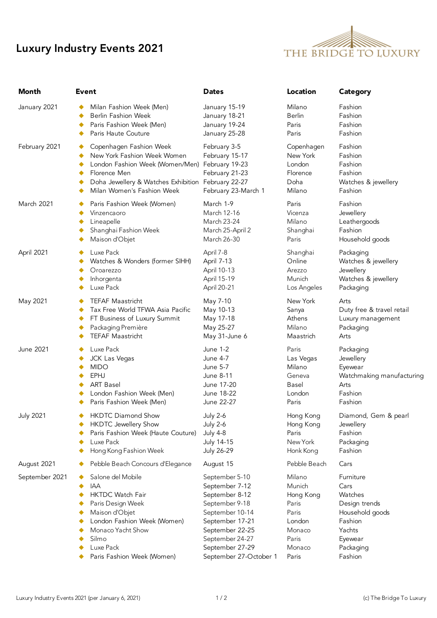## Luxury Industry Events 2021



| Month            | <b>Event</b>                                                                                                                                                                                  | <b>Dates</b>                                                                              | Location                                                       | <b>Category</b>                                                            |
|------------------|-----------------------------------------------------------------------------------------------------------------------------------------------------------------------------------------------|-------------------------------------------------------------------------------------------|----------------------------------------------------------------|----------------------------------------------------------------------------|
| January 2021     | Milan Fashion Week (Men)                                                                                                                                                                      | January 15-19                                                                             | Milano                                                         | Fashion                                                                    |
|                  | Berlin Fashion Week                                                                                                                                                                           | January 18-21                                                                             | Berlin                                                         | Fashion                                                                    |
|                  | Paris Fashion Week (Men)                                                                                                                                                                      | January 19-24                                                                             | Paris                                                          | Fashion                                                                    |
|                  | Paris Haute Couture                                                                                                                                                                           | January 25-28                                                                             | Paris                                                          | Fashion                                                                    |
| February 2021    | Copenhagen Fashion Week<br>New York Fashion Week Women<br>London Fashion Week (Women/Men)<br>Florence Men<br>Doha Jewellery & Watches Exhibition February 22-27<br>Milan Women's Fashion Week | February 3-5<br>February 15-17<br>February 19-23<br>February 21-23<br>February 23-March 1 | Copenhagen<br>New York<br>London<br>Florence<br>Doha<br>Milano | Fashion<br>Fashion<br>Fashion<br>Fashion<br>Watches & jewellery<br>Fashion |
| March 2021       | Paris Fashion Week (Women)                                                                                                                                                                    | March 1-9                                                                                 | Paris                                                          | Fashion                                                                    |
|                  | Vinzencaoro                                                                                                                                                                                   | March 12-16                                                                               | Vicenza                                                        | Jewellery                                                                  |
|                  | Lineapelle                                                                                                                                                                                    | March 23-24                                                                               | Milano                                                         | Leathergoods                                                               |
|                  | Shanghai Fashion Week                                                                                                                                                                         | March 25-April 2                                                                          | Shanghai                                                       | Fashion                                                                    |
|                  | Maison d'Objet                                                                                                                                                                                | March 26-30                                                                               | Paris                                                          | Household goods                                                            |
| April 2021       | Luxe Pack                                                                                                                                                                                     | April 7-8                                                                                 | Shanghai                                                       | Packaging                                                                  |
|                  | Watches & Wonders (former SIHH)                                                                                                                                                               | April 7-13                                                                                | Online                                                         | Watches & jewellery                                                        |
|                  | Oroarezzo                                                                                                                                                                                     | April 10-13                                                                               | Arezzo                                                         | Jewellery                                                                  |
|                  | Inhorgenta                                                                                                                                                                                    | April 15-19                                                                               | Munich                                                         | Watches & jewellery                                                        |
|                  | Luxe Pack                                                                                                                                                                                     | April 20-21                                                                               | Los Angeles                                                    | Packaging                                                                  |
| May 2021         | <b>TEFAF Maastricht</b>                                                                                                                                                                       | May 7-10                                                                                  | New York                                                       | Arts                                                                       |
|                  | Tax Free World TFWA Asia Pacific                                                                                                                                                              | May 10-13                                                                                 | Sanya                                                          | Duty free & travel retail                                                  |
|                  | FT Business of Luxury Summit                                                                                                                                                                  | May 17-18                                                                                 | Athens                                                         | Luxury management                                                          |
|                  | Packaging Première                                                                                                                                                                            | May 25-27                                                                                 | Milano                                                         | Packaging                                                                  |
|                  | <b>TEFAF Maastricht</b>                                                                                                                                                                       | May 31-June 6                                                                             | Maastrich                                                      | Arts                                                                       |
| June 2021        | Luxe Pack                                                                                                                                                                                     | <b>June 1-2</b>                                                                           | Paris                                                          | Packaging                                                                  |
|                  | JCK Las Vegas                                                                                                                                                                                 | <b>June 4-7</b>                                                                           | Las Vegas                                                      | Jewellery                                                                  |
|                  | <b>MIDO</b>                                                                                                                                                                                   | <b>June 5-7</b>                                                                           | Milano                                                         | Eyewear                                                                    |
|                  | EPHJ                                                                                                                                                                                          | June 8-11                                                                                 | Geneva                                                         | Watchmaking manufacturing                                                  |
|                  | <b>ART Basel</b>                                                                                                                                                                              | June 17-20                                                                                | Basel                                                          | Arts                                                                       |
|                  | London Fashion Week (Men)                                                                                                                                                                     | June 18-22                                                                                | London                                                         | Fashion                                                                    |
|                  | Paris Fashion Week (Men)                                                                                                                                                                      | June 22-27                                                                                | Paris                                                          | Fashion                                                                    |
| <b>July 2021</b> | <b>HKDTC Diamond Show</b>                                                                                                                                                                     | <b>July 2-6</b>                                                                           | Hong Kong                                                      | Diamond, Gem & pearl                                                       |
|                  | <b>HKDTC Jewellery Show</b>                                                                                                                                                                   | <b>July 2-6</b>                                                                           | Hong Kong                                                      | Jewellery                                                                  |
|                  | Paris Fashion Week (Haute Couture)                                                                                                                                                            | <b>July 4-8</b>                                                                           | Paris                                                          | Fashion                                                                    |
|                  | Luxe Pack                                                                                                                                                                                     | July 14-15                                                                                | New York                                                       | Packaging                                                                  |
|                  | Hong Kong Fashion Week                                                                                                                                                                        | July 26-29                                                                                | Honk Kong                                                      | Fashion                                                                    |
| August 2021      | Pebble Beach Concours d'Elegance                                                                                                                                                              | August 15                                                                                 | Pebble Beach                                                   | Cars                                                                       |
| September 2021   | Salone del Mobile                                                                                                                                                                             | September 5-10                                                                            | Milano                                                         | Furniture                                                                  |
|                  | IAA                                                                                                                                                                                           | September 7-12                                                                            | Munich                                                         | Cars                                                                       |
|                  | HKTDC Watch Fair                                                                                                                                                                              | September 8-12                                                                            | Hong Kong                                                      | Watches                                                                    |
|                  | Paris Design Week                                                                                                                                                                             | September 9-18                                                                            | Paris                                                          | Design trends                                                              |
|                  | Maison d'Objet                                                                                                                                                                                | September 10-14                                                                           | Paris                                                          | Household goods                                                            |
|                  | London Fashion Week (Women)                                                                                                                                                                   | September 17-21                                                                           | London                                                         | Fashion                                                                    |
|                  | Monaco Yacht Show                                                                                                                                                                             | September 22-25                                                                           | Monaco                                                         | Yachts                                                                     |
|                  | Silmo                                                                                                                                                                                         | September 24-27                                                                           | Paris                                                          | Eyewear                                                                    |
|                  | Luxe Pack                                                                                                                                                                                     | September 27-29                                                                           | Monaco                                                         | Packaging                                                                  |
|                  | Paris Fashion Week (Women)                                                                                                                                                                    | September 27-October 1                                                                    | Paris                                                          | Fashion                                                                    |